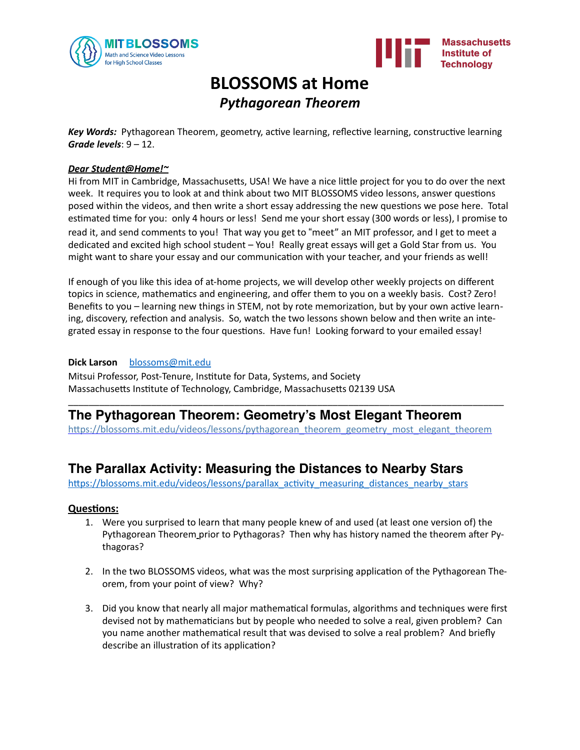



# **BLOSSOMS** at Home *Pythagorean Theorem*

**Key Words:** Pythagorean Theorem, geometry, active learning, reflective learning, constructive learning *Grade levels*:  $9 - 12$ .

### *Dear Student@Home!~*

Hi from MIT in Cambridge, Massachusetts, USA! We have a nice little project for you to do over the next week. It requires you to look at and think about two MIT BLOSSOMS video lessons, answer questions posed within the videos, and then write a short essay addressing the new questions we pose here. Total estimated time for you: only 4 hours or less! Send me your short essay (300 words or less), I promise to read it, and send comments to you! That way you get to "meet" an MIT professor, and I get to meet a dedicated and excited high school student - You! Really great essays will get a Gold Star from us. You might want to share your essay and our communication with your teacher, and your friends as well!

If enough of you like this idea of at-home projects, we will develop other weekly projects on different topics in science, mathematics and engineering, and offer them to you on a weekly basis. Cost? Zero! Benefits to you – learning new things in STEM, not by rote memorization, but by your own active learning, discovery, refection and analysis. So, watch the two lessons shown below and then write an integrated essay in response to the four questions. Have fun! Looking forward to your emailed essay!

#### **Dick Larson** [blossoms@mit.edu](mailto:blossoms@mit.edu)

Mitsui Professor, Post-Tenure, Institute for Data, Systems, and Society Massachusetts Institute of Technology, Cambridge, Massachusetts 02139 USA

## **The Pythagorean Theorem: Geometry's Most Elegant Theorem**

https://blossoms.mit.edu/videos/lessons/pythagorean\_theorem\_geometry\_most\_elegant\_theorem

\_\_\_\_\_\_\_\_\_\_\_\_\_\_\_\_\_\_\_\_\_\_\_\_\_\_\_\_\_\_\_\_\_\_\_\_\_\_\_\_\_\_\_\_\_\_\_\_\_\_\_\_\_\_\_\_\_\_\_\_\_\_\_\_\_\_\_\_\_\_\_\_\_\_\_\_\_\_\_\_\_\_\_\_ 

### **The Parallax Activity: Measuring the Distances to Nearby Stars**

https://blossoms.mit.edu/videos/lessons/parallax\_activity\_measuring\_distances\_nearby\_stars

### **Questions:**

- 1. Were you surprised to learn that many people knew of and used (at least one version of) the Pythagorean Theorem prior to Pythagoras? Then why has history named the theorem after Pythagoras?
- 2. In the two BLOSSOMS videos, what was the most surprising application of the Pythagorean Theorem, from your point of view? Why?
- 3. Did you know that nearly all major mathematical formulas, algorithms and techniques were first devised not by mathematicians but by people who needed to solve a real, given problem? Can you name another mathematical result that was devised to solve a real problem? And briefly describe an illustration of its application?